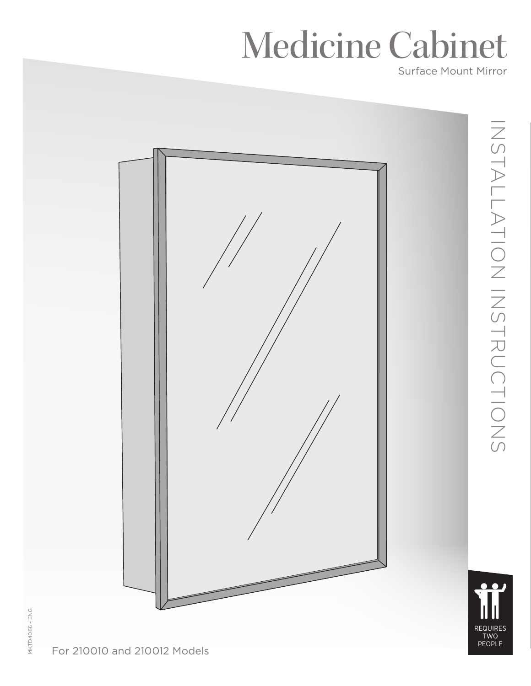# Medicine Cabinet

Surface Mount Mirror



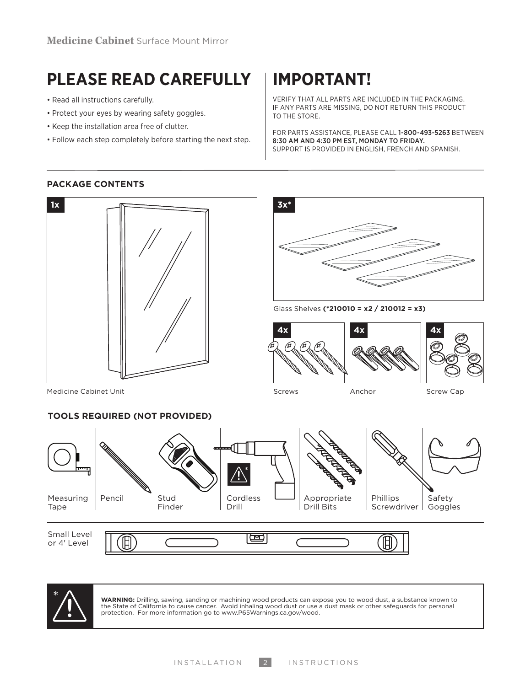## **PLEASE READ CAREFULLY IMPORTANT!**

- Read all instructions carefully.
- Protect your eyes by wearing safety goggles.
- Keep the installation area free of clutter.
- Follow each step completely before starting the next step.

VERIFY THAT ALL PARTS ARE INCLUDED IN THE PACKAGING. IF ANY PARTS ARE MISSING, DO NOT RETURN THIS PRODUCT TO THE STORE.

FOR PARTS ASSISTANCE, PLEASE CALL 1-800-493-5263 BETWEEN 8:30 AM AND 4:30 PM EST, MONDAY TO FRIDAY. SUPPORT IS PROVIDED IN ENGLISH, FRENCH AND SPANISH.

#### **PACKAGE CONTENTS**





**WARNING:** Drilling, sawing, sanding or machining wood products can expose you to wood dust, a substance known to<br>the State of California to cause cancer. Avoid inhaling wood dust or use a dust mask or other safeguards fo protection. For more information go to www.P65Warnings.ca.gov/wood.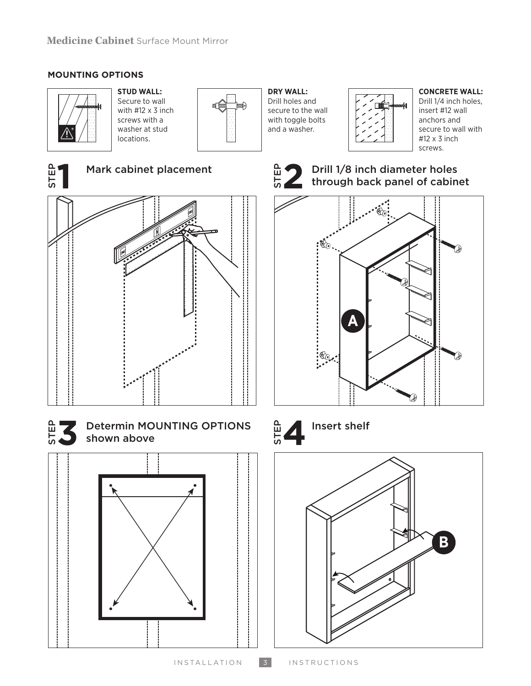### **MOUNTING OPTIONS**



**STUD WALL:** Secure to wall with #12 x 3 inch screws with a washer at stud locations.



**DRY WALL:** Drill holes and secure to the wall with toggle bolts and a washer.



#### **CONCRETE WALL:**

Drill 1/4 inch holes, insert #12 wall anchors and secure to wall with #12 x 3 inch screws.



**1** Mark cabinet placement





**3** Determin MOUNTING OPTIONS shown above





**2** Drill 1/8 inch diameter holes<br>through back panel of cabine  $\frac{2}{5}$  Drill 1/8 inch diameter holes<br>through back panel of cabinet